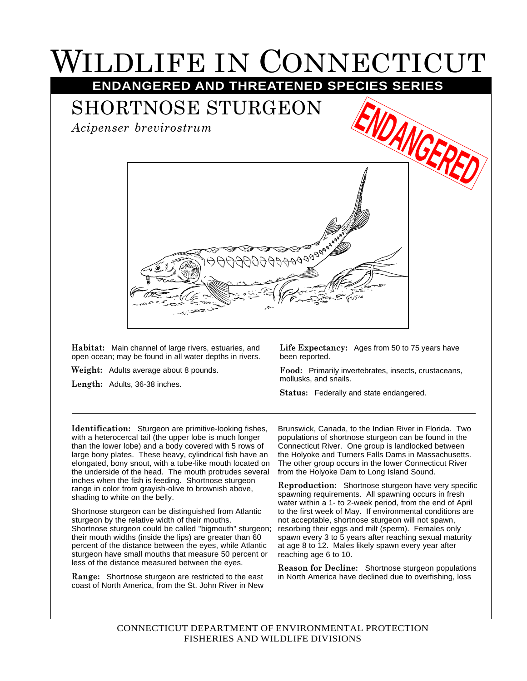## LDLIFE IN CONNECTICUT **ENDANGERED AND THREATENED SPECIES SERIES**

SHORTNOSE STURGEON

*Acipenser brevirostrum*



**Habitat:** Main channel of large rivers, estuaries, and open ocean; may be found in all water depths in rivers.

**Weight:** Adults average about 8 pounds.

**Length:** Adults, 36-38 inches.

**Life Expectancy:** Ages from 50 to 75 years have been reported.

**Food:** Primarily invertebrates, insects, crustaceans, mollusks, and snails.

**Status:** Federally and state endangered.

**Identification:** Sturgeon are primitive-looking fishes, with a heterocercal tail (the upper lobe is much longer than the lower lobe) and a body covered with 5 rows of large bony plates. These heavy, cylindrical fish have an elongated, bony snout, with a tube-like mouth located on the underside of the head. The mouth protrudes several inches when the fish is feeding. Shortnose sturgeon range in color from grayish-olive to brownish above, shading to white on the belly.

Shortnose sturgeon can be distinguished from Atlantic sturgeon by the relative width of their mouths. Shortnose sturgeon could be called "bigmouth" sturgeon; their mouth widths (inside the lips) are greater than 60 percent of the distance between the eyes, while Atlantic sturgeon have small mouths that measure 50 percent or less of the distance measured between the eyes.

**Range:** Shortnose sturgeon are restricted to the east coast of North America, from the St. John River in New

Brunswick, Canada, to the Indian River in Florida. Two populations of shortnose sturgeon can be found in the Connecticut River. One group is landlocked between the Holyoke and Turners Falls Dams in Massachusetts. The other group occurs in the lower Connecticut River from the Holyoke Dam to Long Island Sound.

**Reproduction:** Shortnose sturgeon have very specific spawning requirements. All spawning occurs in fresh water within a 1- to 2-week period, from the end of April to the first week of May. If environmental conditions are not acceptable, shortnose sturgeon will not spawn, resorbing their eggs and milt (sperm). Females only spawn every 3 to 5 years after reaching sexual maturity at age 8 to 12. Males likely spawn every year after reaching age 6 to 10.

**Reason for Decline:** Shortnose sturgeon populations in North America have declined due to overfishing, loss